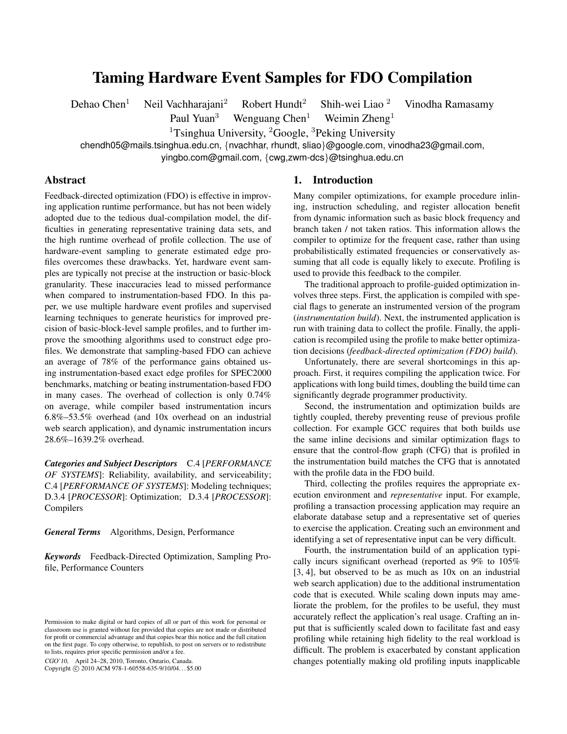# Taming Hardware Event Samples for FDO Compilation

Dehao Chen<sup>1</sup> Neil Vachharajani<sup>2</sup> Robert Hundt<sup>2</sup> Shih-wei Liao <sup>2</sup> Vinodha Ramasamy

Paul Yuan<sup>3</sup> Wenguang Chen<sup>1</sup> Weimin Zheng<sup>1</sup>

<sup>1</sup>Tsinghua University, <sup>2</sup>Google, <sup>3</sup>Peking University

chendh05@mails.tsinghua.edu.cn, {nvachhar, rhundt, sliao}@google.com, vinodha23@gmail.com,

yingbo.com@gmail.com, {cwg,zwm-dcs}@tsinghua.edu.cn

## Abstract

Feedback-directed optimization (FDO) is effective in improving application runtime performance, but has not been widely adopted due to the tedious dual-compilation model, the difficulties in generating representative training data sets, and the high runtime overhead of profile collection. The use of hardware-event sampling to generate estimated edge profiles overcomes these drawbacks. Yet, hardware event samples are typically not precise at the instruction or basic-block granularity. These inaccuracies lead to missed performance when compared to instrumentation-based FDO. In this paper, we use multiple hardware event profiles and supervised learning techniques to generate heuristics for improved precision of basic-block-level sample profiles, and to further improve the smoothing algorithms used to construct edge profiles. We demonstrate that sampling-based FDO can achieve an average of 78% of the performance gains obtained using instrumentation-based exact edge profiles for SPEC2000 benchmarks, matching or beating instrumentation-based FDO in many cases. The overhead of collection is only 0.74% on average, while compiler based instrumentation incurs 6.8%–53.5% overhead (and 10x overhead on an industrial web search application), and dynamic instrumentation incurs 28.6%–1639.2% overhead.

*Categories and Subject Descriptors* C.4 [*PERFORMANCE OF SYSTEMS*]: Reliability, availability, and serviceability; C.4 [*PERFORMANCE OF SYSTEMS*]: Modeling techniques; D.3.4 [*PROCESSOR*]: Optimization; D.3.4 [*PROCESSOR*]: Compilers

*General Terms* Algorithms, Design, Performance

*Keywords* Feedback-Directed Optimization, Sampling Profile, Performance Counters

CGO'10, April 24–28, 2010, Toronto, Ontario, Canada.

Copyright © 2010 ACM 978-1-60558-635-9/10/04... \$5.00

#### 1. Introduction

Many compiler optimizations, for example procedure inlining, instruction scheduling, and register allocation benefit from dynamic information such as basic block frequency and branch taken / not taken ratios. This information allows the compiler to optimize for the frequent case, rather than using probabilistically estimated frequencies or conservatively assuming that all code is equally likely to execute. Profiling is used to provide this feedback to the compiler.

The traditional approach to profile-guided optimization involves three steps. First, the application is compiled with special flags to generate an instrumented version of the program (*instrumentation build*). Next, the instrumented application is run with training data to collect the profile. Finally, the application is recompiled using the profile to make better optimization decisions (*feedback-directed optimization (FDO) build*).

Unfortunately, there are several shortcomings in this approach. First, it requires compiling the application twice. For applications with long build times, doubling the build time can significantly degrade programmer productivity.

Second, the instrumentation and optimization builds are tightly coupled, thereby preventing reuse of previous profile collection. For example GCC requires that both builds use the same inline decisions and similar optimization flags to ensure that the control-flow graph (CFG) that is profiled in the instrumentation build matches the CFG that is annotated with the profile data in the FDO build.

Third, collecting the profiles requires the appropriate execution environment and *representative* input. For example, profiling a transaction processing application may require an elaborate database setup and a representative set of queries to exercise the application. Creating such an environment and identifying a set of representative input can be very difficult.

Fourth, the instrumentation build of an application typically incurs significant overhead (reported as 9% to 105% [3, 4], but observed to be as much as 10x on an industrial web search application) due to the additional instrumentation code that is executed. While scaling down inputs may ameliorate the problem, for the profiles to be useful, they must accurately reflect the application's real usage. Crafting an input that is sufficiently scaled down to facilitate fast and easy profiling while retaining high fidelity to the real workload is difficult. The problem is exacerbated by constant application changes potentially making old profiling inputs inapplicable

Permission to make digital or hard copies of all or part of this work for personal or classroom use is granted without fee provided that copies are not made or distributed for profit or commercial advantage and that copies bear this notice and the full citation on the first page. To copy otherwise, to republish, to post on servers or to redistribute to lists, requires prior specific permission and/or a fee.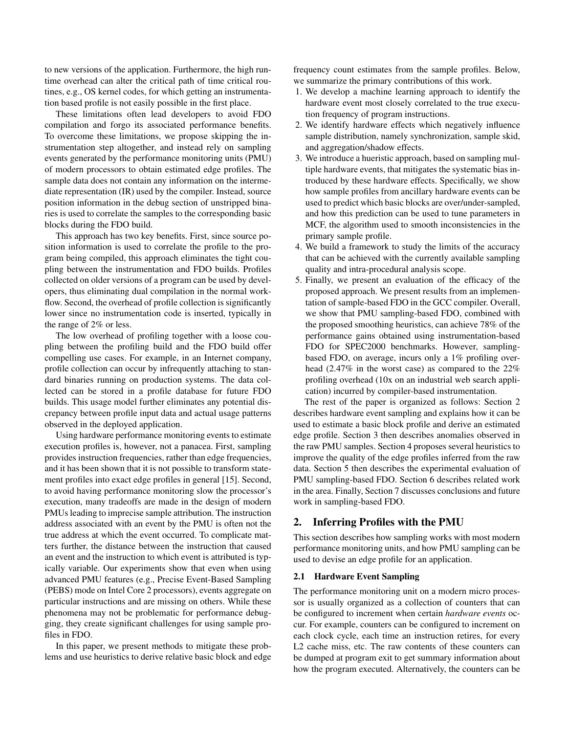to new versions of the application. Furthermore, the high runtime overhead can alter the critical path of time critical routines, e.g., OS kernel codes, for which getting an instrumentation based profile is not easily possible in the first place.

These limitations often lead developers to avoid FDO compilation and forgo its associated performance benefits. To overcome these limitations, we propose skipping the instrumentation step altogether, and instead rely on sampling events generated by the performance monitoring units (PMU) of modern processors to obtain estimated edge profiles. The sample data does not contain any information on the intermediate representation (IR) used by the compiler. Instead, source position information in the debug section of unstripped binaries is used to correlate the samples to the corresponding basic blocks during the FDO build.

This approach has two key benefits. First, since source position information is used to correlate the profile to the program being compiled, this approach eliminates the tight coupling between the instrumentation and FDO builds. Profiles collected on older versions of a program can be used by developers, thus eliminating dual compilation in the normal workflow. Second, the overhead of profile collection is significantly lower since no instrumentation code is inserted, typically in the range of 2% or less.

The low overhead of profiling together with a loose coupling between the profiling build and the FDO build offer compelling use cases. For example, in an Internet company, profile collection can occur by infrequently attaching to standard binaries running on production systems. The data collected can be stored in a profile database for future FDO builds. This usage model further eliminates any potential discrepancy between profile input data and actual usage patterns observed in the deployed application.

Using hardware performance monitoring events to estimate execution profiles is, however, not a panacea. First, sampling provides instruction frequencies, rather than edge frequencies, and it has been shown that it is not possible to transform statement profiles into exact edge profiles in general [15]. Second, to avoid having performance monitoring slow the processor's execution, many tradeoffs are made in the design of modern PMUs leading to imprecise sample attribution. The instruction address associated with an event by the PMU is often not the true address at which the event occurred. To complicate matters further, the distance between the instruction that caused an event and the instruction to which event is attributed is typically variable. Our experiments show that even when using advanced PMU features (e.g., Precise Event-Based Sampling (PEBS) mode on Intel Core 2 processors), events aggregate on particular instructions and are missing on others. While these phenomena may not be problematic for performance debugging, they create significant challenges for using sample profiles in FDO.

In this paper, we present methods to mitigate these problems and use heuristics to derive relative basic block and edge

frequency count estimates from the sample profiles. Below, we summarize the primary contributions of this work.

- 1. We develop a machine learning approach to identify the hardware event most closely correlated to the true execution frequency of program instructions.
- 2. We identify hardware effects which negatively influence sample distribution, namely synchronization, sample skid, and aggregation/shadow effects.
- 3. We introduce a hueristic approach, based on sampling multiple hardware events, that mitigates the systematic bias introduced by these hardware effects. Specifically, we show how sample profiles from ancillary hardware events can be used to predict which basic blocks are over/under-sampled, and how this prediction can be used to tune parameters in MCF, the algorithm used to smooth inconsistencies in the primary sample profile.
- 4. We build a framework to study the limits of the accuracy that can be achieved with the currently available sampling quality and intra-procedural analysis scope.
- 5. Finally, we present an evaluation of the efficacy of the proposed approach. We present results from an implementation of sample-based FDO in the GCC compiler. Overall, we show that PMU sampling-based FDO, combined with the proposed smoothing heuristics, can achieve 78% of the performance gains obtained using instrumentation-based FDO for SPEC2000 benchmarks. However, samplingbased FDO, on average, incurs only a 1% profiling overhead (2.47% in the worst case) as compared to the 22% profiling overhead (10x on an industrial web search application) incurred by compiler-based instrumentation.

The rest of the paper is organized as follows: Section 2 describes hardware event sampling and explains how it can be used to estimate a basic block profile and derive an estimated edge profile. Section 3 then describes anomalies observed in the raw PMU samples. Section 4 proposes several heuristics to improve the quality of the edge profiles inferred from the raw data. Section 5 then describes the experimental evaluation of PMU sampling-based FDO. Section 6 describes related work in the area. Finally, Section 7 discusses conclusions and future work in sampling-based FDO.

## 2. Inferring Profiles with the PMU

This section describes how sampling works with most modern performance monitoring units, and how PMU sampling can be used to devise an edge profile for an application.

#### 2.1 Hardware Event Sampling

The performance monitoring unit on a modern micro processor is usually organized as a collection of counters that can be configured to increment when certain *hardware events* occur. For example, counters can be configured to increment on each clock cycle, each time an instruction retires, for every L2 cache miss, etc. The raw contents of these counters can be dumped at program exit to get summary information about how the program executed. Alternatively, the counters can be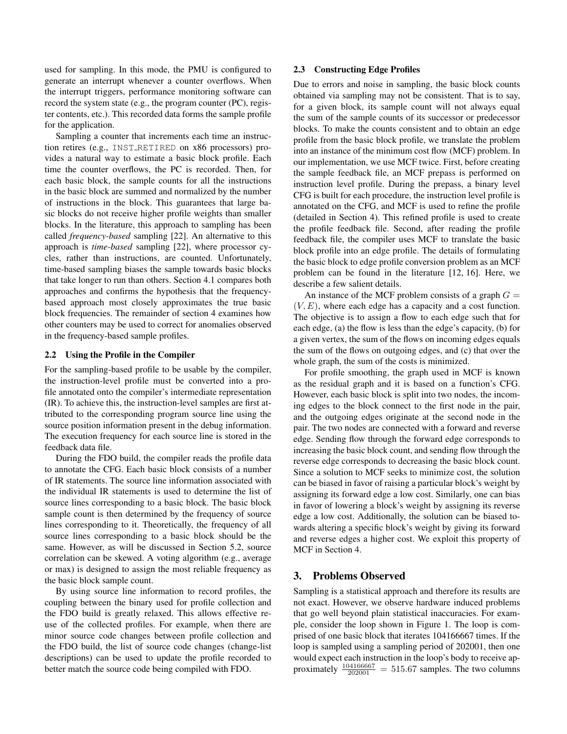used for sampling. In this mode, the PMU is configured to generate an interrupt whenever a counter overflows. When the interrupt triggers, performance monitoring software can record the system state (e.g., the program counter (PC), register contents, etc.). This recorded data forms the sample profile for the application.

Sampling a counter that increments each time an instruction retires (e.g., INST RETIRED on x86 processors) provides a natural way to estimate a basic block profile. Each time the counter overflows, the PC is recorded. Then, for each basic block, the sample counts for all the instructions in the basic block are summed and normalized by the number of instructions in the block. This guarantees that large basic blocks do not receive higher profile weights than smaller blocks. In the literature, this approach to sampling has been called *frequency-based* sampling [22]. An alternative to this approach is *time-based* sampling [22], where processor cycles, rather than instructions, are counted. Unfortunately, time-based sampling biases the sample towards basic blocks that take longer to run than others. Section 4.1 compares both approaches and confirms the hypothesis that the frequencybased approach most closely approximates the true basic block frequencies. The remainder of section 4 examines how other counters may be used to correct for anomalies observed in the frequency-based sample profiles.

#### 2.2 Using the Profile in the Compiler

For the sampling-based profile to be usable by the compiler, the instruction-level profile must be converted into a profile annotated onto the compiler's intermediate representation (IR). To achieve this, the instruction-level samples are first attributed to the corresponding program source line using the source position information present in the debug information. The execution frequency for each source line is stored in the feedback data file.

During the FDO build, the compiler reads the profile data to annotate the CFG. Each basic block consists of a number of IR statements. The source line information associated with the individual IR statements is used to determine the list of source lines corresponding to a basic block. The basic block sample count is then determined by the frequency of source lines corresponding to it. Theoretically, the frequency of all source lines corresponding to a basic block should be the same. However, as will be discussed in Section 5.2, source correlation can be skewed. A voting algorithm (e.g., average or max) is designed to assign the most reliable frequency as the basic block sample count.

By using source line information to record profiles, the coupling between the binary used for profile collection and the FDO build is greatly relaxed. This allows effective reuse of the collected profiles. For example, when there are minor source code changes between profile collection and the FDO build, the list of source code changes (change-list descriptions) can be used to update the profile recorded to better match the source code being compiled with FDO.

#### 2.3 Constructing Edge Profiles

Due to errors and noise in sampling, the basic block counts obtained via sampling may not be consistent. That is to say, for a given block, its sample count will not always equal the sum of the sample counts of its successor or predecessor blocks. To make the counts consistent and to obtain an edge profile from the basic block profile, we translate the problem into an instance of the minimum cost flow (MCF) problem. In our implementation, we use MCF twice. First, before creating the sample feedback file, an MCF prepass is performed on instruction level profile. During the prepass, a binary level CFG is built for each procedure, the instruction level profile is annotated on the CFG, and MCF is used to refine the profile (detailed in Section 4). This refined profile is used to create the profile feedback file. Second, after reading the profile feedback file, the compiler uses MCF to translate the basic block profile into an edge profile. The details of formulating the basic block to edge profile conversion problem as an MCF problem can be found in the literature [12, 16]. Here, we describe a few salient details.

An instance of the MCF problem consists of a graph  $G =$  $(V, E)$ , where each edge has a capacity and a cost function. The objective is to assign a flow to each edge such that for each edge, (a) the flow is less than the edge's capacity, (b) for a given vertex, the sum of the flows on incoming edges equals the sum of the flows on outgoing edges, and (c) that over the whole graph, the sum of the costs is minimized.

For profile smoothing, the graph used in MCF is known as the residual graph and it is based on a function's CFG. However, each basic block is split into two nodes, the incoming edges to the block connect to the first node in the pair, and the outgoing edges originate at the second node in the pair. The two nodes are connected with a forward and reverse edge. Sending flow through the forward edge corresponds to increasing the basic block count, and sending flow through the reverse edge corresponds to decreasing the basic block count. Since a solution to MCF seeks to minimize cost, the solution can be biased in favor of raising a particular block's weight by assigning its forward edge a low cost. Similarly, one can bias in favor of lowering a block's weight by assigning its reverse edge a low cost. Additionally, the solution can be biased towards altering a specific block's weight by giving its forward and reverse edges a higher cost. We exploit this property of MCF in Section 4.

## 3. Problems Observed

Sampling is a statistical approach and therefore its results are not exact. However, we observe hardware induced problems that go well beyond plain statistical inaccuracies. For example, consider the loop shown in Figure 1. The loop is comprised of one basic block that iterates 104166667 times. If the loop is sampled using a sampling period of 202001, then one would expect each instruction in the loop's body to receive approximately  $\frac{104166667}{202001} = 515.67$  samples. The two columns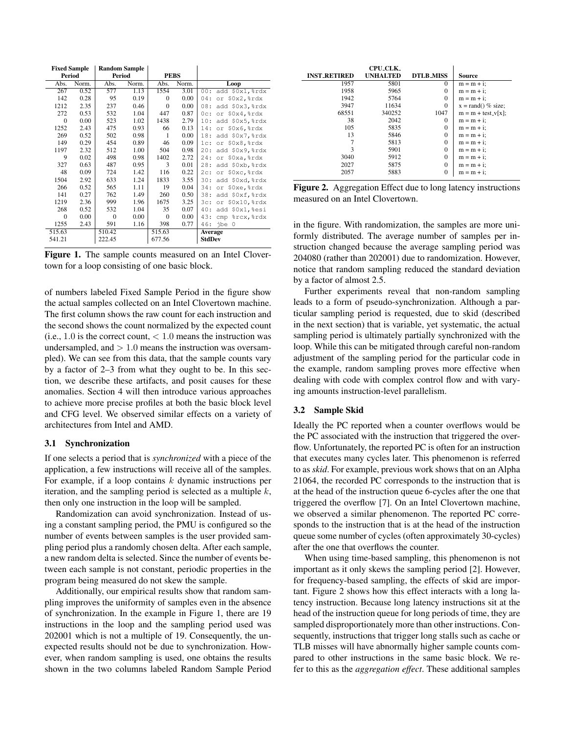| <b>Fixed Sample</b> |       | <b>Random Sample</b> |       |              |       |                        |
|---------------------|-------|----------------------|-------|--------------|-------|------------------------|
| Period              |       | Period               |       | <b>PEBS</b>  |       |                        |
| Abs.                | Norm. | Abs.                 | Norm. | Abs.         | Norm. | Loop                   |
| 267                 | 0.52  | 577                  | 1.13  | 1554         | 3.01  | 00:<br>add \$0x1, %rdx |
| 142                 | 0.28  | 95                   | 0.19  | $\Omega$     | 0.00  | or \$0x2, %rdx<br>04:  |
| 1212                | 2.35  | 237                  | 0.46  | $\Omega$     | 0.00  | add \$0x3, %rdx<br>08: |
| 272                 | 0.53  | 532                  | 1.04  | 447          | 0.87  | or \$0x4, %rdx<br>0c:  |
| $\overline{0}$      | 0.00  | 523                  | 1.02  | 1438         | 2.79  | 10:<br>add \$0x5, %rdx |
| 1252                | 2.43  | 475                  | 0.93  | 66           | 0.13  | or \$0x6, %rdx<br>14:  |
| 269                 | 0.52  | 502                  | 0.98  | 1            | 0.00  | 18:<br>add \$0x7, %rdx |
| 149                 | 0.29  | 454                  | 0.89  | 46           | 0.09  | or \$0x8, %rdx<br>1c:  |
| 1197                | 2.32  | 512                  | 1.00  | 504          | 0.98  | 20:<br>add \$0x9, %rdx |
| 9                   | 0.02  | 498                  | 0.98  | 1402         | 2.72  | 24:<br>or \$0xa, %rdx  |
| 327                 | 0.63  | 487                  | 0.95  | 3            | 0.01  | add \$0xb, %rdx<br>28: |
| 48                  | 0.09  | 724                  | 1.42  | 116          | 0.22  | or \$0xc, %rdx<br>2c:  |
| 1504                | 2.92  | 633                  | 1.24  | 1833         | 3.55  | 30:<br>add \$0xd, %rdx |
| 266                 | 0.52  | 565                  | 1.11  | 19           | 0.04  | or \$0xe, %rdx<br>34:  |
| 141                 | 0.27  | 762                  | 1.49  | 260          | 0.50  | add \$0xf, %rdx<br>38: |
| 1219                | 2.36  | 999                  | 1.96  | 1675         | 3.25  | or \$0x10, %rdx<br>3c: |
| 268                 | 0.52  | 532                  | 1.04  | 35           | 0.07  | 40:<br>add \$0x1,%esi  |
| $\theta$            | 0.00  | $\Omega$             | 0.00  | $\mathbf{0}$ | 0.00  | 43:<br>cmp %rcx, %rdx  |
| 1255                | 2.43  | 591                  | 1.16  | 398          | 0.77  | 46:<br>jbe 0           |
| 515.63              |       | 510.42               |       | 515.63       |       | Average                |
| 541.21              |       | 222.45               |       | 677.56       |       | <b>StdDev</b>          |

Figure 1. The sample counts measured on an Intel Clovertown for a loop consisting of one basic block.

of numbers labeled Fixed Sample Period in the figure show the actual samples collected on an Intel Clovertown machine. The first column shows the raw count for each instruction and the second shows the count normalized by the expected count (i.e., 1.0 is the correct count,  $< 1.0$  means the instruction was undersampled, and  $> 1.0$  means the instruction was oversampled). We can see from this data, that the sample counts vary by a factor of 2–3 from what they ought to be. In this section, we describe these artifacts, and posit causes for these anomalies. Section 4 will then introduce various approaches to achieve more precise profiles at both the basic block level and CFG level. We observed similar effects on a variety of architectures from Intel and AMD.

## 3.1 Synchronization

If one selects a period that is *synchronized* with a piece of the application, a few instructions will receive all of the samples. For example, if a loop contains  $k$  dynamic instructions per iteration, and the sampling period is selected as a multiple  $k$ , then only one instruction in the loop will be sampled.

Randomization can avoid synchronization. Instead of using a constant sampling period, the PMU is configured so the number of events between samples is the user provided sampling period plus a randomly chosen delta. After each sample, a new random delta is selected. Since the number of events between each sample is not constant, periodic properties in the program being measured do not skew the sample.

Additionally, our empirical results show that random sampling improves the uniformity of samples even in the absence of synchronization. In the example in Figure 1, there are 19 instructions in the loop and the sampling period used was 202001 which is not a multiple of 19. Consequently, the unexpected results should not be due to synchronization. However, when random sampling is used, one obtains the results shown in the two columns labeled Random Sample Period

|                     | CPU_CLK_        |                  |                             |
|---------------------|-----------------|------------------|-----------------------------|
| <b>INST_RETIRED</b> | <b>UNHALTED</b> | <b>DTLB_MISS</b> | Source                      |
| 1957                | 5801            | $\Omega$         | $m = m + i$ ;               |
| 1958                | 5965            | 0                | $m = m + i$ :               |
| 1942                | 5764            | 0                | $m = m + i$ ;               |
| 3947                | 11634           | 0                | $x = \text{rand}()$ % size; |
| 68551               | 340252          | 1047             | $m = m + test_v[x];$        |
| 38                  | 2042            | 0                | $m = m + i$ ;               |
| 105                 | 5835            | 0                | $m = m + i$ ;               |
| 13                  | 5846            | 0                | $m = m + i$ ;               |
|                     | 5813            | 0                | $m = m + i$ ;               |
| 3                   | 5901            | $\theta$         | $m = m + i$ ;               |
| 3040                | 5912            | 0                | $m = m + i$ :               |
| 2027                | 5875            | 0                | $m = m + i$ ;               |
| 2057                | 5883            | 0                | $m = m + i$ :               |

Figure 2. Aggregation Effect due to long latency instructions measured on an Intel Clovertown.

in the figure. With randomization, the samples are more uniformly distributed. The average number of samples per instruction changed because the average sampling period was 204080 (rather than 202001) due to randomization. However, notice that random sampling reduced the standard deviation by a factor of almost 2.5.

Further experiments reveal that non-random sampling leads to a form of pseudo-synchronization. Although a particular sampling period is requested, due to skid (described in the next section) that is variable, yet systematic, the actual sampling period is ultimately partially synchronized with the loop. While this can be mitigated through careful non-random adjustment of the sampling period for the particular code in the example, random sampling proves more effective when dealing with code with complex control flow and with varying amounts instruction-level parallelism.

#### 3.2 Sample Skid

Ideally the PC reported when a counter overflows would be the PC associated with the instruction that triggered the overflow. Unfortunately, the reported PC is often for an instruction that executes many cycles later. This phenomenon is referred to as *skid*. For example, previous work shows that on an Alpha 21064, the recorded PC corresponds to the instruction that is at the head of the instruction queue 6-cycles after the one that triggered the overflow [7]. On an Intel Clovertown machine, we observed a similar phenomenon. The reported PC corresponds to the instruction that is at the head of the instruction queue some number of cycles (often approximately 30-cycles) after the one that overflows the counter.

When using time-based sampling, this phenomenon is not important as it only skews the sampling period [2]. However, for frequency-based sampling, the effects of skid are important. Figure 2 shows how this effect interacts with a long latency instruction. Because long latency instructions sit at the head of the instruction queue for long periods of time, they are sampled disproportionately more than other instructions. Consequently, instructions that trigger long stalls such as cache or TLB misses will have abnormally higher sample counts compared to other instructions in the same basic block. We refer to this as the *aggregation effect*. These additional samples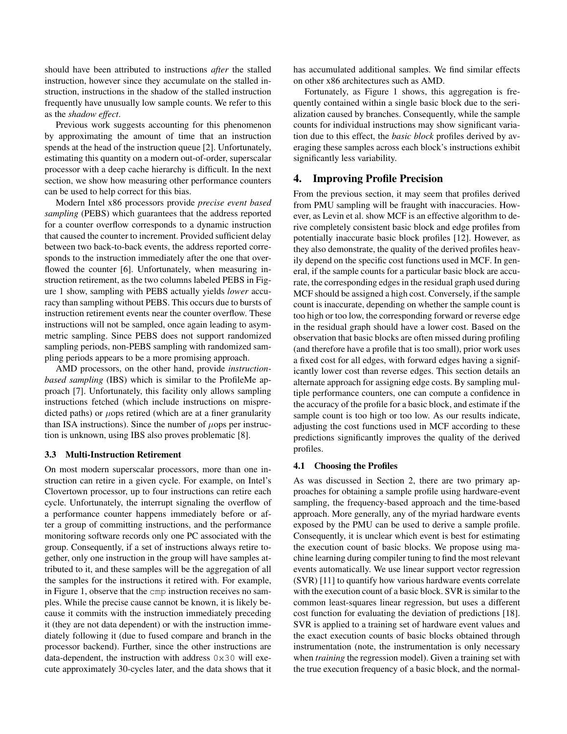should have been attributed to instructions *after* the stalled instruction, however since they accumulate on the stalled instruction, instructions in the shadow of the stalled instruction frequently have unusually low sample counts. We refer to this as the *shadow effect*.

Previous work suggests accounting for this phenomenon by approximating the amount of time that an instruction spends at the head of the instruction queue [2]. Unfortunately, estimating this quantity on a modern out-of-order, superscalar processor with a deep cache hierarchy is difficult. In the next section, we show how measuring other performance counters can be used to help correct for this bias.

Modern Intel x86 processors provide *precise event based sampling* (PEBS) which guarantees that the address reported for a counter overflow corresponds to a dynamic instruction that caused the counter to increment. Provided sufficient delay between two back-to-back events, the address reported corresponds to the instruction immediately after the one that overflowed the counter [6]. Unfortunately, when measuring instruction retirement, as the two columns labeled PEBS in Figure 1 show, sampling with PEBS actually yields *lower* accuracy than sampling without PEBS. This occurs due to bursts of instruction retirement events near the counter overflow. These instructions will not be sampled, once again leading to asymmetric sampling. Since PEBS does not support randomized sampling periods, non-PEBS sampling with randomized sampling periods appears to be a more promising approach.

AMD processors, on the other hand, provide *instructionbased sampling* (IBS) which is similar to the ProfileMe approach [7]. Unfortunately, this facility only allows sampling instructions fetched (which include instructions on mispredicted paths) or  $\mu$ ops retired (which are at a finer granularity than ISA instructions). Since the number of  $\mu$ ops per instruction is unknown, using IBS also proves problematic [8].

#### 3.3 Multi-Instruction Retirement

On most modern superscalar processors, more than one instruction can retire in a given cycle. For example, on Intel's Clovertown processor, up to four instructions can retire each cycle. Unfortunately, the interrupt signaling the overflow of a performance counter happens immediately before or after a group of committing instructions, and the performance monitoring software records only one PC associated with the group. Consequently, if a set of instructions always retire together, only one instruction in the group will have samples attributed to it, and these samples will be the aggregation of all the samples for the instructions it retired with. For example, in Figure 1, observe that the cmp instruction receives no samples. While the precise cause cannot be known, it is likely because it commits with the instruction immediately preceding it (they are not data dependent) or with the instruction immediately following it (due to fused compare and branch in the processor backend). Further, since the other instructions are data-dependent, the instruction with address 0x30 will execute approximately 30-cycles later, and the data shows that it has accumulated additional samples. We find similar effects on other x86 architectures such as AMD.

Fortunately, as Figure 1 shows, this aggregation is frequently contained within a single basic block due to the serialization caused by branches. Consequently, while the sample counts for individual instructions may show significant variation due to this effect, the *basic block* profiles derived by averaging these samples across each block's instructions exhibit significantly less variability.

## 4. Improving Profile Precision

From the previous section, it may seem that profiles derived from PMU sampling will be fraught with inaccuracies. However, as Levin et al. show MCF is an effective algorithm to derive completely consistent basic block and edge profiles from potentially inaccurate basic block profiles [12]. However, as they also demonstrate, the quality of the derived profiles heavily depend on the specific cost functions used in MCF. In general, if the sample counts for a particular basic block are accurate, the corresponding edges in the residual graph used during MCF should be assigned a high cost. Conversely, if the sample count is inaccurate, depending on whether the sample count is too high or too low, the corresponding forward or reverse edge in the residual graph should have a lower cost. Based on the observation that basic blocks are often missed during profiling (and therefore have a profile that is too small), prior work uses a fixed cost for all edges, with forward edges having a significantly lower cost than reverse edges. This section details an alternate approach for assigning edge costs. By sampling multiple performance counters, one can compute a confidence in the accuracy of the profile for a basic block, and estimate if the sample count is too high or too low. As our results indicate, adjusting the cost functions used in MCF according to these predictions significantly improves the quality of the derived profiles.

#### 4.1 Choosing the Profiles

As was discussed in Section 2, there are two primary approaches for obtaining a sample profile using hardware-event sampling, the frequency-based approach and the time-based approach. More generally, any of the myriad hardware events exposed by the PMU can be used to derive a sample profile. Consequently, it is unclear which event is best for estimating the execution count of basic blocks. We propose using machine learning during compiler tuning to find the most relevant events automatically. We use linear support vector regression (SVR) [11] to quantify how various hardware events correlate with the execution count of a basic block. SVR is similar to the common least-squares linear regression, but uses a different cost function for evaluating the deviation of predictions [18]. SVR is applied to a training set of hardware event values and the exact execution counts of basic blocks obtained through instrumentation (note, the instrumentation is only necessary when *training* the regression model). Given a training set with the true execution frequency of a basic block, and the normal-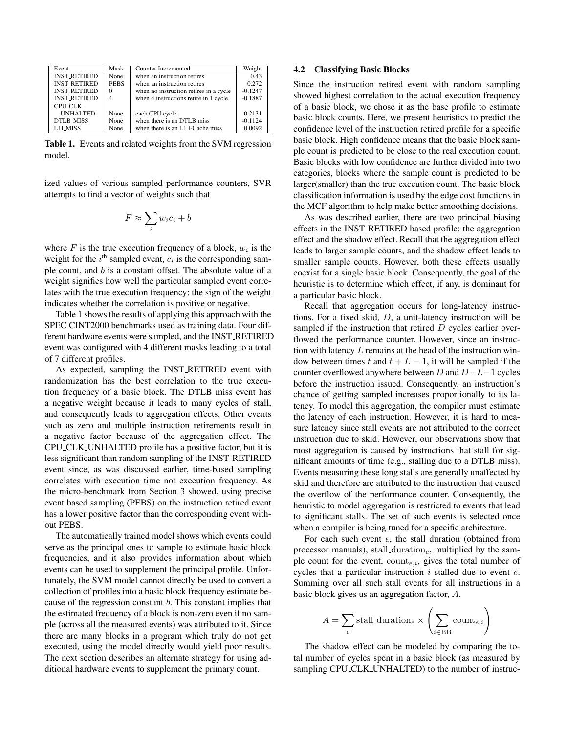| Event               | Mask        | Counter Incremented                    | Weight    |
|---------------------|-------------|----------------------------------------|-----------|
| <b>INST_RETIRED</b> | None        | when an instruction retires            | 0.43      |
| <b>INST_RETIRED</b> | <b>PEBS</b> | when an instruction retires            | 0.272     |
| <b>INST_RETIRED</b> | 0           | when no instruction retires in a cycle | $-0.1247$ |
| <b>INST RETIRED</b> |             | when 4 instructions retire in 1 cycle  | $-0.1887$ |
| CPU_CLK_            |             |                                        |           |
| <b>UNHALTED</b>     | None        | each CPU cycle                         | 0.2131    |
| <b>DTLB_MISS</b>    | None        | when there is an DTLB miss             | $-0.1124$ |
| L1I_MISS            | None        | when there is an L1 I-Cache miss       | 0.0092    |

Table 1. Events and related weights from the SVM regression model.

ized values of various sampled performance counters, SVR attempts to find a vector of weights such that

$$
F \approx \sum_{i} w_i c_i + b
$$

where  $F$  is the true execution frequency of a block,  $w_i$  is the weight for the  $i^{\text{th}}$  sampled event,  $c_i$  is the corresponding sample count, and b is a constant offset. The absolute value of a weight signifies how well the particular sampled event correlates with the true execution frequency; the sign of the weight indicates whether the correlation is positive or negative.

Table 1 shows the results of applying this approach with the SPEC CINT2000 benchmarks used as training data. Four different hardware events were sampled, and the INST RETIRED event was configured with 4 different masks leading to a total of 7 different profiles.

As expected, sampling the INST RETIRED event with randomization has the best correlation to the true execution frequency of a basic block. The DTLB miss event has a negative weight because it leads to many cycles of stall, and consequently leads to aggregation effects. Other events such as zero and multiple instruction retirements result in a negative factor because of the aggregation effect. The CPU CLK UNHALTED profile has a positive factor, but it is less significant than random sampling of the INST RETIRED event since, as was discussed earlier, time-based sampling correlates with execution time not execution frequency. As the micro-benchmark from Section 3 showed, using precise event based sampling (PEBS) on the instruction retired event has a lower positive factor than the corresponding event without PEBS.

The automatically trained model shows which events could serve as the principal ones to sample to estimate basic block frequencies, and it also provides information about which events can be used to supplement the principal profile. Unfortunately, the SVM model cannot directly be used to convert a collection of profiles into a basic block frequency estimate because of the regression constant  $b$ . This constant implies that the estimated frequency of a block is non-zero even if no sample (across all the measured events) was attributed to it. Since there are many blocks in a program which truly do not get executed, using the model directly would yield poor results. The next section describes an alternate strategy for using additional hardware events to supplement the primary count.

#### 4.2 Classifying Basic Blocks

Since the instruction retired event with random sampling showed highest correlation to the actual execution frequency of a basic block, we chose it as the base profile to estimate basic block counts. Here, we present heuristics to predict the confidence level of the instruction retired profile for a specific basic block. High confidence means that the basic block sample count is predicted to be close to the real execution count. Basic blocks with low confidence are further divided into two categories, blocks where the sample count is predicted to be larger(smaller) than the true execution count. The basic block classification information is used by the edge cost functions in the MCF algorithm to help make better smoothing decisions.

As was described earlier, there are two principal biasing effects in the INST RETIRED based profile: the aggregation effect and the shadow effect. Recall that the aggregation effect leads to larger sample counts, and the shadow effect leads to smaller sample counts. However, both these effects usually coexist for a single basic block. Consequently, the goal of the heuristic is to determine which effect, if any, is dominant for a particular basic block.

Recall that aggregation occurs for long-latency instructions. For a fixed skid, D, a unit-latency instruction will be sampled if the instruction that retired D cycles earlier overflowed the performance counter. However, since an instruction with latency  $L$  remains at the head of the instruction window between times t and  $t + L - 1$ , it will be sampled if the counter overflowed anywhere between  $D$  and  $D-L-1$  cycles before the instruction issued. Consequently, an instruction's chance of getting sampled increases proportionally to its latency. To model this aggregation, the compiler must estimate the latency of each instruction. However, it is hard to measure latency since stall events are not attributed to the correct instruction due to skid. However, our observations show that most aggregation is caused by instructions that stall for significant amounts of time (e.g., stalling due to a DTLB miss). Events measuring these long stalls are generally unaffected by skid and therefore are attributed to the instruction that caused the overflow of the performance counter. Consequently, the heuristic to model aggregation is restricted to events that lead to significant stalls. The set of such events is selected once when a compiler is being tuned for a specific architecture.

For each such event  $e$ , the stall duration (obtained from processor manuals), stall duration<sub>e</sub>, multiplied by the sample count for the event,  $count_{e,i}$ , gives the total number of cycles that a particular instruction  $i$  stalled due to event  $e$ . Summing over all such stall events for all instructions in a basic block gives us an aggregation factor, A.

$$
A = \sum_{e} \text{stall\_duration}_{e} \times \left(\sum_{i \in \text{BB}} \text{count}_{e,i}\right)
$$

The shadow effect can be modeled by comparing the total number of cycles spent in a basic block (as measured by sampling CPU\_CLK\_UNHALTED) to the number of instruc-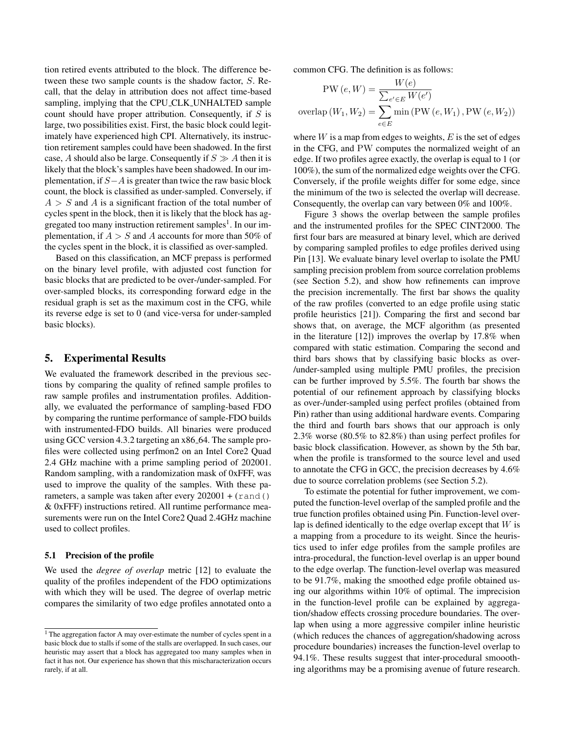tion retired events attributed to the block. The difference between these two sample counts is the shadow factor, S. Recall, that the delay in attribution does not affect time-based sampling, implying that the CPU CLK UNHALTED sample count should have proper attribution. Consequently, if  $S$  is large, two possibilities exist. First, the basic block could legitimately have experienced high CPI. Alternatively, its instruction retirement samples could have been shadowed. In the first case, A should also be large. Consequently if  $S \gg A$  then it is likely that the block's samples have been shadowed. In our implementation, if  $S-A$  is greater than twice the raw basic block count, the block is classified as under-sampled. Conversely, if  $A > S$  and A is a significant fraction of the total number of cycles spent in the block, then it is likely that the block has aggregated too many instruction retirement samples<sup>1</sup>. In our implementation, if  $A > S$  and A accounts for more than 50% of the cycles spent in the block, it is classified as over-sampled.

Based on this classification, an MCF prepass is performed on the binary level profile, with adjusted cost function for basic blocks that are predicted to be over-/under-sampled. For over-sampled blocks, its corresponding forward edge in the residual graph is set as the maximum cost in the CFG, while its reverse edge is set to 0 (and vice-versa for under-sampled basic blocks).

#### 5. Experimental Results

We evaluated the framework described in the previous sections by comparing the quality of refined sample profiles to raw sample profiles and instrumentation profiles. Additionally, we evaluated the performance of sampling-based FDO by comparing the runtime performance of sample-FDO builds with instrumented-FDO builds. All binaries were produced using GCC version 4.3.2 targeting an  $x86_64$ . The sample profiles were collected using perfmon2 on an Intel Core2 Quad 2.4 GHz machine with a prime sampling period of 202001. Random sampling, with a randomization mask of 0xFFF, was used to improve the quality of the samples. With these parameters, a sample was taken after every  $202001 + (rand()$ & 0xFFF) instructions retired. All runtime performance measurements were run on the Intel Core2 Quad 2.4GHz machine used to collect profiles.

#### 5.1 Precision of the profile

We used the *degree of overlap* metric [12] to evaluate the quality of the profiles independent of the FDO optimizations with which they will be used. The degree of overlap metric compares the similarity of two edge profiles annotated onto a

common CFG. The definition is as follows:

$$
PW(e, W) = \frac{W(e)}{\sum_{e' \in E} W(e')}
$$
  
overlap (W<sub>1</sub>, W<sub>2</sub>) =  $\sum_{e \in E}$  min (PW (e, W<sub>1</sub>), PW (e, W<sub>2</sub>))

where  $W$  is a map from edges to weights,  $E$  is the set of edges in the CFG, and PW computes the normalized weight of an edge. If two profiles agree exactly, the overlap is equal to 1 (or 100%), the sum of the normalized edge weights over the CFG. Conversely, if the profile weights differ for some edge, since the minimum of the two is selected the overlap will decrease. Consequently, the overlap can vary between 0% and 100%.

Figure 3 shows the overlap between the sample profiles and the instrumented profiles for the SPEC CINT2000. The first four bars are measured at binary level, which are derived by comparing sampled profiles to edge profiles derived using Pin [13]. We evaluate binary level overlap to isolate the PMU sampling precision problem from source correlation problems (see Section 5.2), and show how refinements can improve the precision incrementally. The first bar shows the quality of the raw profiles (converted to an edge profile using static profile heuristics [21]). Comparing the first and second bar shows that, on average, the MCF algorithm (as presented in the literature [12]) improves the overlap by 17.8% when compared with static estimation. Comparing the second and third bars shows that by classifying basic blocks as over- /under-sampled using multiple PMU profiles, the precision can be further improved by 5.5%. The fourth bar shows the potential of our refinement approach by classifying blocks as over-/under-sampled using perfect profiles (obtained from Pin) rather than using additional hardware events. Comparing the third and fourth bars shows that our approach is only 2.3% worse (80.5% to 82.8%) than using perfect profiles for basic block classification. However, as shown by the 5th bar, when the profile is transformed to the source level and used to annotate the CFG in GCC, the precision decreases by 4.6% due to source correlation problems (see Section 5.2).

To estimate the potential for futher improvement, we computed the function-level overlap of the sampled profile and the true function profiles obtained using Pin. Function-level overlap is defined identically to the edge overlap except that  $W$  is a mapping from a procedure to its weight. Since the heuristics used to infer edge profiles from the sample profiles are intra-procedural, the function-level overlap is an upper bound to the edge overlap. The function-level overlap was measured to be 91.7%, making the smoothed edge profile obtained using our algorithms within 10% of optimal. The imprecision in the function-level profile can be explained by aggregation/shadow effects crossing procedure boundaries. The overlap when using a more aggressive compiler inline heuristic (which reduces the chances of aggregation/shadowing across procedure boundaries) increases the function-level overlap to 94.1%. These results suggest that inter-procedural smooothing algorithms may be a promising avenue of future research.

 $<sup>1</sup>$  The aggregation factor A may over-estimate the number of cycles spent in a</sup> basic block due to stalls if some of the stalls are overlapped. In such cases, our heuristic may assert that a block has aggregated too many samples when in fact it has not. Our experience has shown that this mischaracterization occurs rarely, if at all.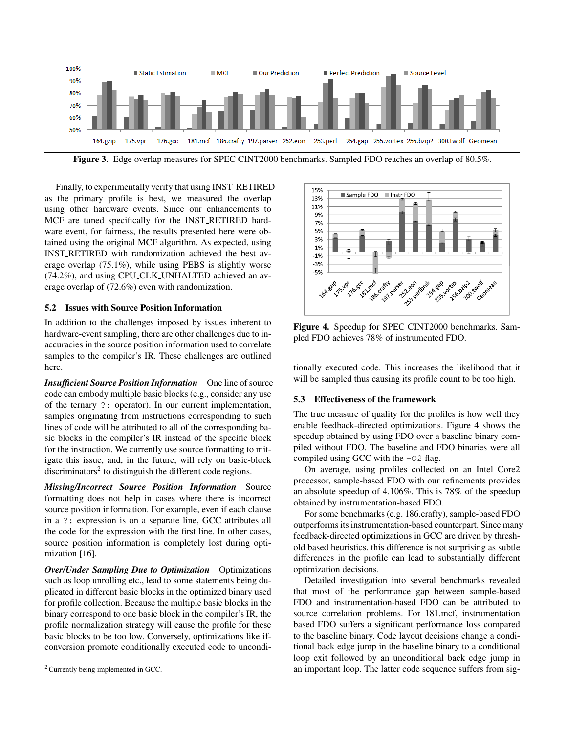

Figure 3. Edge overlap measures for SPEC CINT2000 benchmarks. Sampled FDO reaches an overlap of 80.5%.

Finally, to experimentally verify that using INST RETIRED as the primary profile is best, we measured the overlap using other hardware events. Since our enhancements to MCF are tuned specifically for the INST RETIRED hardware event, for fairness, the results presented here were obtained using the original MCF algorithm. As expected, using INST RETIRED with randomization achieved the best average overlap (75.1%), while using PEBS is slightly worse (74.2%), and using CPU CLK UNHALTED achieved an average overlap of (72.6%) even with randomization.

## 5.2 Issues with Source Position Information

In addition to the challenges imposed by issues inherent to hardware-event sampling, there are other challenges due to inaccuracies in the source position information used to correlate samples to the compiler's IR. These challenges are outlined here.

*Insufficient Source Position Information* One line of source code can embody multiple basic blocks (e.g., consider any use of the ternary ?: operator). In our current implementation, samples originating from instructions corresponding to such lines of code will be attributed to all of the corresponding basic blocks in the compiler's IR instead of the specific block for the instruction. We currently use source formatting to mitigate this issue, and, in the future, will rely on basic-block discriminators<sup>2</sup> to distinguish the different code regions.

*Missing/Incorrect Source Position Information* Source formatting does not help in cases where there is incorrect source position information. For example, even if each clause in a ?: expression is on a separate line, GCC attributes all the code for the expression with the first line. In other cases, source position information is completely lost during optimization [16].

*Over/Under Sampling Due to Optimization* Optimizations such as loop unrolling etc., lead to some statements being duplicated in different basic blocks in the optimized binary used for profile collection. Because the multiple basic blocks in the binary correspond to one basic block in the compiler's IR, the profile normalization strategy will cause the profile for these basic blocks to be too low. Conversely, optimizations like ifconversion promote conditionally executed code to uncondi-



Figure 4. Speedup for SPEC CINT2000 benchmarks. Sampled FDO achieves 78% of instrumented FDO.

tionally executed code. This increases the likelihood that it will be sampled thus causing its profile count to be too high.

## 5.3 Effectiveness of the framework

The true measure of quality for the profiles is how well they enable feedback-directed optimizations. Figure 4 shows the speedup obtained by using FDO over a baseline binary compiled without FDO. The baseline and FDO binaries were all compiled using GCC with the -O2 flag.

On average, using profiles collected on an Intel Core2 processor, sample-based FDO with our refinements provides an absolute speedup of 4.106%. This is 78% of the speedup obtained by instrumentation-based FDO.

For some benchmarks (e.g. 186.crafty), sample-based FDO outperforms its instrumentation-based counterpart. Since many feedback-directed optimizations in GCC are driven by threshold based heuristics, this difference is not surprising as subtle differences in the profile can lead to substantially different optimization decisions.

Detailed investigation into several benchmarks revealed that most of the performance gap between sample-based FDO and instrumentation-based FDO can be attributed to source correlation problems. For 181.mcf, instrumentation based FDO suffers a significant performance loss compared to the baseline binary. Code layout decisions change a conditional back edge jump in the baseline binary to a conditional loop exit followed by an unconditional back edge jump in an important loop. The latter code sequence suffers from sig-

<sup>2</sup> Currently being implemented in GCC.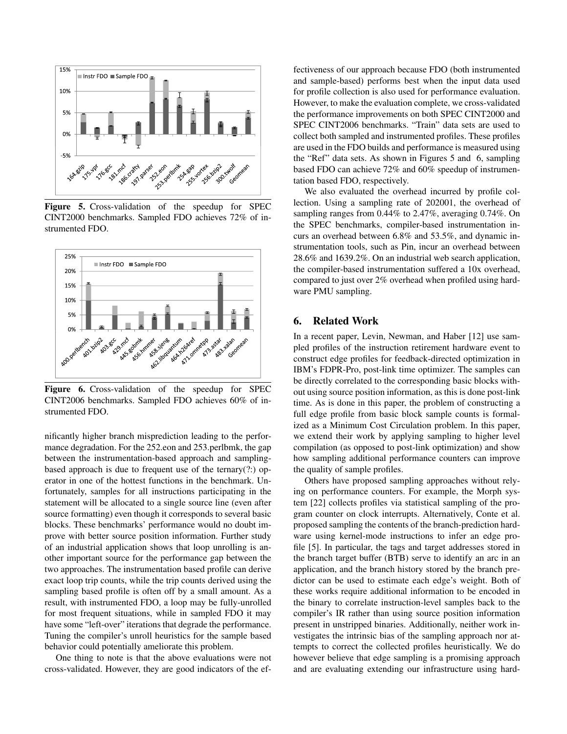

Figure 5. Cross-validation of the speedup for SPEC CINT2000 benchmarks. Sampled FDO achieves 72% of instrumented FDO.



Figure 6. Cross-validation of the speedup for SPEC CINT2006 benchmarks. Sampled FDO achieves 60% of instrumented FDO.

nificantly higher branch misprediction leading to the performance degradation. For the 252.eon and 253.perlbmk, the gap between the instrumentation-based approach and samplingbased approach is due to frequent use of the ternary(?:) operator in one of the hottest functions in the benchmark. Unfortunately, samples for all instructions participating in the statement will be allocated to a single source line (even after source formatting) even though it corresponds to several basic blocks. These benchmarks' performance would no doubt improve with better source position information. Further study of an industrial application shows that loop unrolling is another important source for the performance gap between the two approaches. The instrumentation based profile can derive exact loop trip counts, while the trip counts derived using the sampling based profile is often off by a small amount. As a result, with instrumented FDO, a loop may be fully-unrolled for most frequent situations, while in sampled FDO it may have some "left-over" iterations that degrade the performance. Tuning the compiler's unroll heuristics for the sample based behavior could potentially ameliorate this problem.

One thing to note is that the above evaluations were not cross-validated. However, they are good indicators of the ef-

fectiveness of our approach because FDO (both instrumented and sample-based) performs best when the input data used for profile collection is also used for performance evaluation. However, to make the evaluation complete, we cross-validated the performance improvements on both SPEC CINT2000 and SPEC CINT2006 benchmarks. "Train" data sets are used to collect both sampled and instrumented profiles. These profiles are used in the FDO builds and performance is measured using the "Ref" data sets. As shown in Figures 5 and 6, sampling based FDO can achieve 72% and 60% speedup of instrumentation based FDO, respectively.

We also evaluated the overhead incurred by profile collection. Using a sampling rate of 202001, the overhead of sampling ranges from 0.44% to 2.47%, averaging 0.74%. On the SPEC benchmarks, compiler-based instrumentation incurs an overhead between 6.8% and 53.5%, and dynamic instrumentation tools, such as Pin, incur an overhead between 28.6% and 1639.2%. On an industrial web search application, the compiler-based instrumentation suffered a 10x overhead, compared to just over 2% overhead when profiled using hardware PMU sampling.

## 6. Related Work

In a recent paper, Levin, Newman, and Haber [12] use sampled profiles of the instruction retirement hardware event to construct edge profiles for feedback-directed optimization in IBM's FDPR-Pro, post-link time optimizer. The samples can be directly correlated to the corresponding basic blocks without using source position information, as this is done post-link time. As is done in this paper, the problem of constructing a full edge profile from basic block sample counts is formalized as a Minimum Cost Circulation problem. In this paper, we extend their work by applying sampling to higher level compilation (as opposed to post-link optimization) and show how sampling additional performance counters can improve the quality of sample profiles.

Others have proposed sampling approaches without relying on performance counters. For example, the Morph system [22] collects profiles via statistical sampling of the program counter on clock interrupts. Alternatively, Conte et al. proposed sampling the contents of the branch-prediction hardware using kernel-mode instructions to infer an edge profile [5]. In particular, the tags and target addresses stored in the branch target buffer (BTB) serve to identify an arc in an application, and the branch history stored by the branch predictor can be used to estimate each edge's weight. Both of these works require additional information to be encoded in the binary to correlate instruction-level samples back to the compiler's IR rather than using source position information present in unstripped binaries. Additionally, neither work investigates the intrinsic bias of the sampling approach nor attempts to correct the collected profiles heuristically. We do however believe that edge sampling is a promising approach and are evaluating extending our infrastructure using hard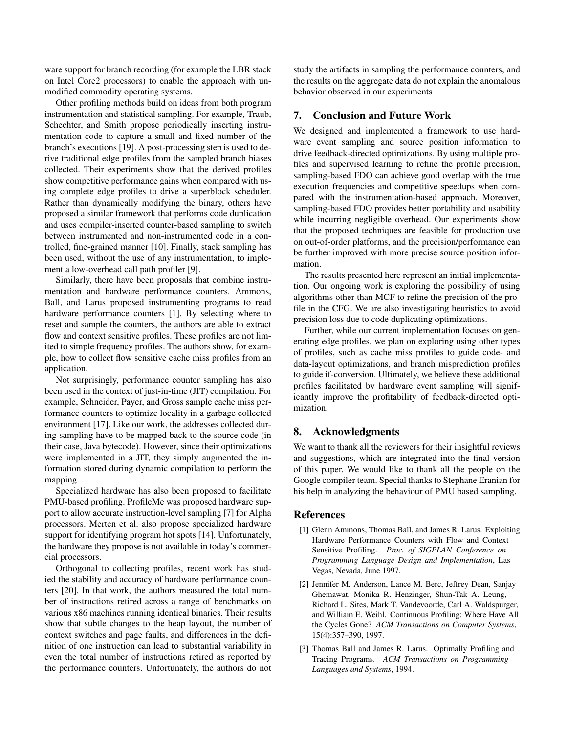ware support for branch recording (for example the LBR stack on Intel Core2 processors) to enable the approach with unmodified commodity operating systems.

Other profiling methods build on ideas from both program instrumentation and statistical sampling. For example, Traub, Schechter, and Smith propose periodically inserting instrumentation code to capture a small and fixed number of the branch's executions [19]. A post-processing step is used to derive traditional edge profiles from the sampled branch biases collected. Their experiments show that the derived profiles show competitive performance gains when compared with using complete edge profiles to drive a superblock scheduler. Rather than dynamically modifying the binary, others have proposed a similar framework that performs code duplication and uses compiler-inserted counter-based sampling to switch between instrumented and non-instrumented code in a controlled, fine-grained manner [10]. Finally, stack sampling has been used, without the use of any instrumentation, to implement a low-overhead call path profiler [9].

Similarly, there have been proposals that combine instrumentation and hardware performance counters. Ammons, Ball, and Larus proposed instrumenting programs to read hardware performance counters [1]. By selecting where to reset and sample the counters, the authors are able to extract flow and context sensitive profiles. These profiles are not limited to simple frequency profiles. The authors show, for example, how to collect flow sensitive cache miss profiles from an application.

Not surprisingly, performance counter sampling has also been used in the context of just-in-time (JIT) compilation. For example, Schneider, Payer, and Gross sample cache miss performance counters to optimize locality in a garbage collected environment [17]. Like our work, the addresses collected during sampling have to be mapped back to the source code (in their case, Java bytecode). However, since their optimizations were implemented in a JIT, they simply augmented the information stored during dynamic compilation to perform the mapping.

Specialized hardware has also been proposed to facilitate PMU-based profiling. ProfileMe was proposed hardware support to allow accurate instruction-level sampling [7] for Alpha processors. Merten et al. also propose specialized hardware support for identifying program hot spots [14]. Unfortunately, the hardware they propose is not available in today's commercial processors.

Orthogonal to collecting profiles, recent work has studied the stability and accuracy of hardware performance counters [20]. In that work, the authors measured the total number of instructions retired across a range of benchmarks on various x86 machines running identical binaries. Their results show that subtle changes to the heap layout, the number of context switches and page faults, and differences in the definition of one instruction can lead to substantial variability in even the total number of instructions retired as reported by the performance counters. Unfortunately, the authors do not

study the artifacts in sampling the performance counters, and the results on the aggregate data do not explain the anomalous behavior observed in our experiments

## 7. Conclusion and Future Work

We designed and implemented a framework to use hardware event sampling and source position information to drive feedback-directed optimizations. By using multiple profiles and supervised learning to refine the profile precision, sampling-based FDO can achieve good overlap with the true execution frequencies and competitive speedups when compared with the instrumentation-based approach. Moreover, sampling-based FDO provides better portability and usability while incurring negligible overhead. Our experiments show that the proposed techniques are feasible for production use on out-of-order platforms, and the precision/performance can be further improved with more precise source position information.

The results presented here represent an initial implementation. Our ongoing work is exploring the possibility of using algorithms other than MCF to refine the precision of the profile in the CFG. We are also investigating heuristics to avoid precision loss due to code duplicating optimizations.

Further, while our current implementation focuses on generating edge profiles, we plan on exploring using other types of profiles, such as cache miss profiles to guide code- and data-layout optimizations, and branch misprediction profiles to guide if-conversion. Ultimately, we believe these additional profiles facilitated by hardware event sampling will significantly improve the profitability of feedback-directed optimization.

## 8. Acknowledgments

We want to thank all the reviewers for their insightful reviews and suggestions, which are integrated into the final version of this paper. We would like to thank all the people on the Google compiler team. Special thanks to Stephane Eranian for his help in analyzing the behaviour of PMU based sampling.

#### References

- [1] Glenn Ammons, Thomas Ball, and James R. Larus. Exploiting Hardware Performance Counters with Flow and Context Sensitive Profiling. *Proc. of SIGPLAN Conference on Programming Language Design and Implementation*, Las Vegas, Nevada, June 1997.
- [2] Jennifer M. Anderson, Lance M. Berc, Jeffrey Dean, Sanjay Ghemawat, Monika R. Henzinger, Shun-Tak A. Leung, Richard L. Sites, Mark T. Vandevoorde, Carl A. Waldspurger, and William E. Weihl. Continuous Profiling: Where Have All the Cycles Gone? *ACM Transactions on Computer Systems*, 15(4):357–390, 1997.
- [3] Thomas Ball and James R. Larus. Optimally Profiling and Tracing Programs. *ACM Transactions on Programming Languages and Systems*, 1994.